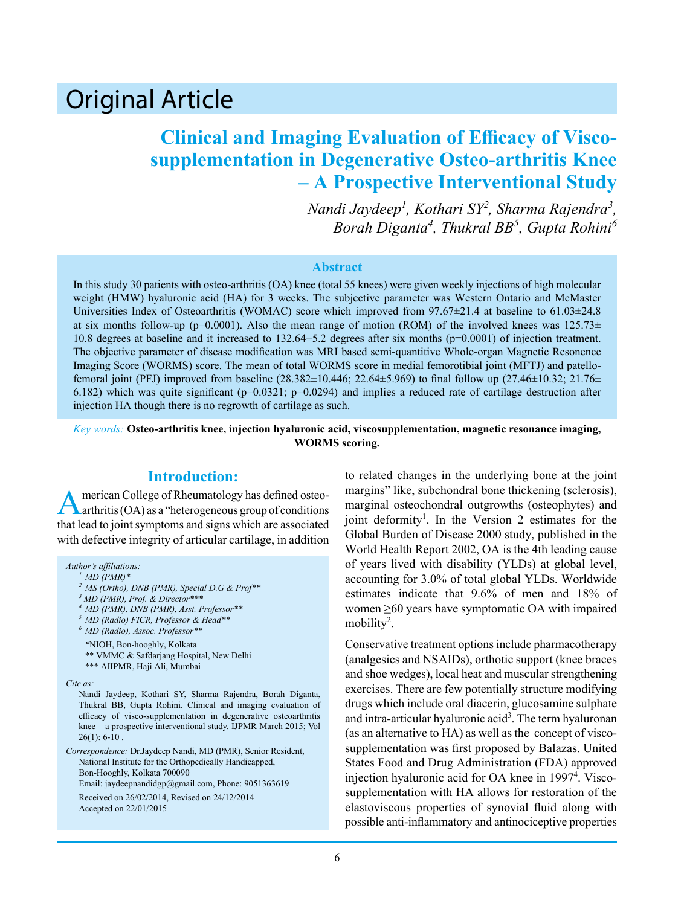# Original Article

## **Clinical and Imaging Evaluation of Efficacy of Viscosupplementation in Degenerative Osteo-arthritis Knee – A Prospective Interventional Study**

*Nandi Jaydeep<sup>1</sup> , Kothari SY<sup>2</sup> , Sharma Rajendra<sup>3</sup> , Borah Diganta<sup>4</sup> , Thukral BB<sup>5</sup> , Gupta Rohini<sup>6</sup>*

#### **Abstract**

In this study 30 patients with osteo-arthritis (OA) knee (total 55 knees) were given weekly injections of high molecular weight (HMW) hyaluronic acid (HA) for 3 weeks. The subjective parameter was Western Ontario and McMaster Universities Index of Osteoarthritis (WOMAC) score which improved from 97.67 $\pm$ 21.4 at baseline to 61.03 $\pm$ 24.8 at six months follow-up (p=0.0001). Also the mean range of motion (ROM) of the involved knees was  $125.73\pm$ 10.8 degrees at baseline and it increased to 132.64±5.2 degrees after six months (p=0.0001) of injection treatment. The objective parameter of disease modification was MRI based semi-quantitive Whole-organ Magnetic Resonence Imaging Score (WORMS) score. The mean of total WORMS score in medial femorotibial joint (MFTJ) and patellofemoral joint (PFJ) improved from baseline  $(28.382 \pm 10.446; 22.64 \pm 5.969)$  to final follow up  $(27.46 \pm 10.32; 21.76 \pm 10.32)$ 6.182) which was quite significant ( $p=0.0321$ ;  $p=0.0294$ ) and implies a reduced rate of cartilage destruction after injection HA though there is no regrowth of cartilage as such.

*Key words:* **Osteo-arthritis knee, injection hyaluronic acid, viscosupplementation, magnetic resonance imaging, WORMS scoring.**

#### **Introduction:**

American College of Rheumatology has defined osteo-arthritis (OA) as a "heterogeneous group of conditions that lead to joint symptoms and signs which are associated with defective integrity of articular cartilage, in addition

*Author's affiliations:*

*<sup>1</sup> MD (PMR)\**

- *<sup>2</sup> MS (Ortho), DNB (PMR), Special D.G & Prof\*\**
- *3 MD (PMR), Prof. & Director\*\*\**
- *<sup>4</sup> MD (PMR), DNB (PMR), Asst. Professor\*\**
- *<sup>5</sup> MD (Radio) FICR, Professor & Head\*\**

*<sup>6</sup> MD (Radio), Assoc. Professor\*\**

*\**NIOH, Bon-hooghly, Kolkata \*\* VMMC & Safdarjang Hospital, New Delhi \*\*\* AIIPMR, Haji Ali, Mumbai

*Cite as:*

Nandi Jaydeep, Kothari SY, Sharma Rajendra, Borah Diganta, Thukral BB, Gupta Rohini. Clinical and imaging evaluation of efficacy of visco-supplementation in degenerative osteoarthritis knee – a prospective interventional study. IJPMR March 2015; Vol  $26(1): 6-10.$ 

*Correspondence:* Dr.Jaydeep Nandi, MD (PMR), Senior Resident, National Institute for the Orthopedically Handicapped, Bon-Hooghly, Kolkata 700090 Email: jaydeepnandidgp@gmail.com, Phone: 9051363619 Received on 26/02/2014, Revised on 24/12/2014 Accepted on 22/01/2015

to related changes in the underlying bone at the joint margins" like, subchondral bone thickening (sclerosis), marginal osteochondral outgrowths (osteophytes) and joint deformity<sup>1</sup>. In the Version 2 estimates for the Global Burden of Disease 2000 study, published in the World Health Report 2002, OA is the 4th leading cause of years lived with disability (YLDs) at global level, accounting for 3.0% of total global YLDs. Worldwide estimates indicate that 9.6% of men and 18% of women ≥60 years have symptomatic OA with impaired mobility<sup>2</sup>.

Conservative treatment options include pharmacotherapy (analgesics and NSAIDs), orthotic support (knee braces and shoe wedges), local heat and muscular strengthening exercises. There are few potentially structure modifying drugs which include oral diacerin, glucosamine sulphate and intra-articular hyaluronic acid<sup>3</sup>. The term hyaluronan (as an alternative to HA) as well as the concept of viscosupplementation was first proposed by Balazas. United States Food and Drug Administration (FDA) approved injection hyaluronic acid for OA knee in 1997<sup>4</sup>. Viscosupplementation with HA allows for restoration of the elastoviscous properties of synovial fluid along with possible anti-inflammatory and antinociceptive properties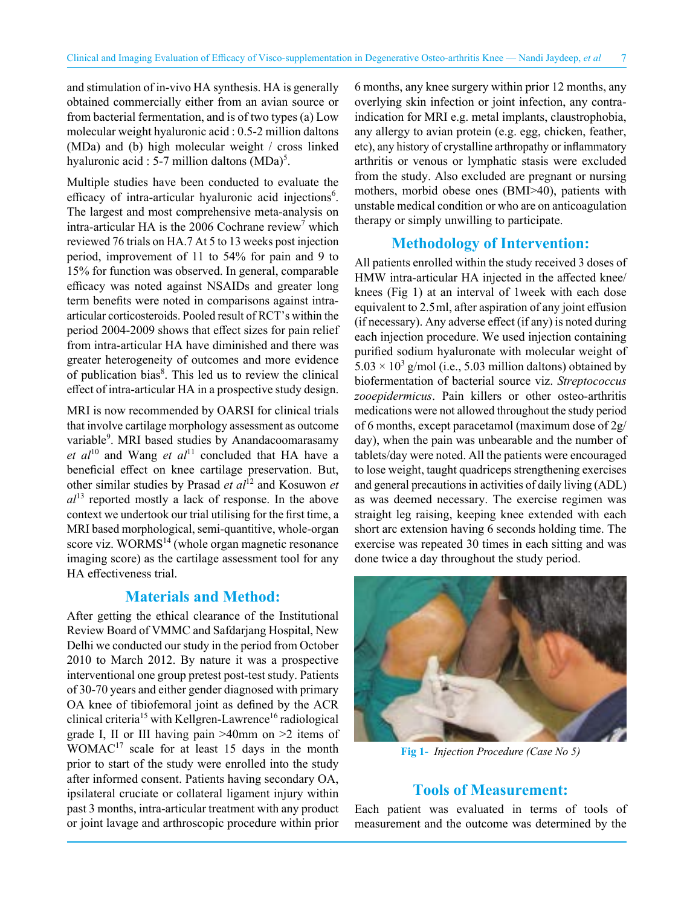and stimulation of in-vivo HA synthesis. HA is generally obtained commercially either from an avian source or from bacterial fermentation, and is of two types (a) Low molecular weight hyaluronic acid : 0.5-2 million daltons (MDa) and (b) high molecular weight / cross linked hyaluronic acid : 5-7 million daltons  $(MDa)^5$ .

Multiple studies have been conducted to evaluate the efficacy of intra-articular hyaluronic acid injections<sup>6</sup>. The largest and most comprehensive meta-analysis on intra-articular HA is the 2006 Cochrane review<sup>7</sup> which reviewed 76 trials on HA.7 At 5 to 13 weeks post injection period, improvement of 11 to 54% for pain and 9 to 15% for function was observed. In general, comparable efficacy was noted against NSAIDs and greater long term benefits were noted in comparisons against intraarticular corticosteroids. Pooled result of RCT's within the period 2004-2009 shows that effect sizes for pain relief from intra-articular HA have diminished and there was greater heterogeneity of outcomes and more evidence of publication bias<sup>8</sup>. This led us to review the clinical effect of intra-articular HA in a prospective study design.

MRI is now recommended by OARSI for clinical trials that involve cartilage morphology assessment as outcome variable<sup>9</sup>. MRI based studies by Anandacoomarasamy *et al*<sup>10</sup> and Wang *et al*<sup>11</sup> concluded that HA have a beneficial effect on knee cartilage preservation. But, other similar studies by Prasad *et al*12 and Kosuwon *et*   $al^{13}$  reported mostly a lack of response. In the above context we undertook our trial utilising for the first time, a MRI based morphological, semi-quantitive, whole-organ score viz.  $WORMS<sup>14</sup>$  (whole organ magnetic resonance imaging score) as the cartilage assessment tool for any HA effectiveness trial.

#### **Materials and Method:**

After getting the ethical clearance of the Institutional Review Board of VMMC and Safdarjang Hospital, New Delhi we conducted our study in the period from October 2010 to March 2012. By nature it was a prospective interventional one group pretest post-test study. Patients of 30-70 years and either gender diagnosed with primary OA knee of tibiofemoral joint as defined by the ACR clinical criteria<sup>15</sup> with Kellgren-Lawrence<sup>16</sup> radiological grade I, II or III having pain >40mm on >2 items of  $WOMAC<sup>17</sup>$  scale for at least 15 days in the month prior to start of the study were enrolled into the study after informed consent. Patients having secondary OA, ipsilateral cruciate or collateral ligament injury within past 3 months, intra-articular treatment with any product or joint lavage and arthroscopic procedure within prior 6 months, any knee surgery within prior 12 months, any overlying skin infection or joint infection, any contraindication for MRI e.g. metal implants, claustrophobia, any allergy to avian protein (e.g. egg, chicken, feather, etc), any history of crystalline arthropathy or inflammatory arthritis or venous or lymphatic stasis were excluded from the study. Also excluded are pregnant or nursing mothers, morbid obese ones (BMI>40), patients with unstable medical condition or who are on anticoagulation therapy or simply unwilling to participate.

#### **Methodology of Intervention:**

All patients enrolled within the study received 3 doses of HMW intra-articular HA injected in the affected knee/ knees (Fig 1) at an interval of 1week with each dose equivalent to 2.5 ml, after aspiration of any joint effusion (if necessary). Any adverse effect (if any) is noted during each injection procedure. We used injection containing purified sodium hyaluronate with molecular weight of  $5.03 \times 10^3$  g/mol (i.e., 5.03 million daltons) obtained by biofermentation of bacterial source viz. *Streptococcus zooepidermicus*. Pain killers or other osteo-arthritis medications were not allowed throughout the study period of 6 months, except paracetamol (maximum dose of 2g/ day), when the pain was unbearable and the number of tablets/day were noted. All the patients were encouraged to lose weight, taught quadriceps strengthening exercises and general precautions in activities of daily living (ADL) as was deemed necessary. The exercise regimen was straight leg raising, keeping knee extended with each short arc extension having 6 seconds holding time. The exercise was repeated 30 times in each sitting and was done twice a day throughout the study period.



**Fig 1-** *Injection Procedure (Case No 5)*

#### **Tools of Measurement:**

Each patient was evaluated in terms of tools of measurement and the outcome was determined by the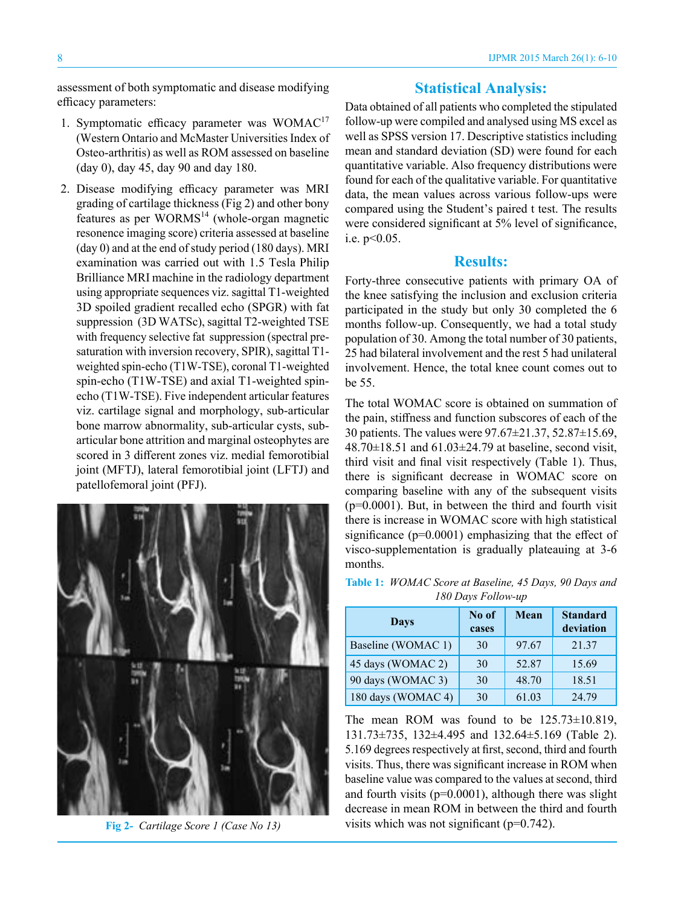assessment of both symptomatic and disease modifying efficacy parameters:

- 1. Symptomatic efficacy parameter was WOMAC<sup>17</sup> (Western Ontario and McMaster Universities Index of Osteo-arthritis) as well as ROM assessed on baseline (day 0), day 45, day 90 and day 180.
- 2. Disease modifying efficacy parameter was MRI grading of cartilage thickness (Fig 2) and other bony features as per WORMS<sup>14</sup> (whole-organ magnetic resonence imaging score) criteria assessed at baseline (day 0) and at the end of study period (180 days). MRI examination was carried out with 1.5 Tesla Philip Brilliance MRI machine in the radiology department using appropriate sequences viz. sagittal T1-weighted 3D spoiled gradient recalled echo (SPGR) with fat suppression (3D WATSc), sagittal T2-weighted TSE with frequency selective fat suppression (spectral presaturation with inversion recovery, SPIR), sagittal T1 weighted spin-echo (T1W-TSE), coronal T1-weighted spin-echo (T1W-TSE) and axial T1-weighted spinecho (T1W-TSE). Five independent articular features viz. cartilage signal and morphology, sub-articular bone marrow abnormality, sub-articular cysts, subarticular bone attrition and marginal osteophytes are scored in 3 different zones viz. medial femorotibial joint (MFTJ), lateral femorotibial joint (LFTJ) and patellofemoral joint (PFJ).



**Fig 2-** *Cartilage Score 1 (Case No 13)*

### **Statistical Analysis:**

Data obtained of all patients who completed the stipulated follow-up were compiled and analysed using MS excel as well as SPSS version 17. Descriptive statistics including mean and standard deviation (SD) were found for each quantitative variable. Also frequency distributions were found for each of the qualitative variable. For quantitative data, the mean values across various follow-ups were compared using the Student's paired t test. The results were considered significant at 5% level of significance, i.e. p<0.05.

#### **Results:**

Forty-three consecutive patients with primary OA of the knee satisfying the inclusion and exclusion criteria participated in the study but only 30 completed the 6 months follow-up. Consequently, we had a total study population of 30. Among the total number of 30 patients, 25 had bilateral involvement and the rest 5 had unilateral involvement. Hence, the total knee count comes out to be 55.

The total WOMAC score is obtained on summation of the pain, stiffness and function subscores of each of the 30 patients. The values were 97.67±21.37, 52.87±15.69,  $48.70 \pm 18.51$  and  $61.03 \pm 24.79$  at baseline, second visit, third visit and final visit respectively (Table 1). Thus, there is significant decrease in WOMAC score on comparing baseline with any of the subsequent visits  $(p=0.0001)$ . But, in between the third and fourth visit there is increase in WOMAC score with high statistical significance ( $p=0.0001$ ) emphasizing that the effect of visco-supplementation is gradually plateauing at 3-6 months.

| <b>Table 1:</b> WOMAC Score at Baseline, 45 Days, 90 Days and |
|---------------------------------------------------------------|
| 180 Days Follow-up                                            |

| Days               | No of<br>cases | Mean  | <b>Standard</b><br>deviation |
|--------------------|----------------|-------|------------------------------|
| Baseline (WOMAC 1) | 30             | 97.67 | 21.37                        |
| 45 days (WOMAC 2)  | 30             | 52.87 | 15.69                        |
| 90 days (WOMAC 3)  | 30             | 48.70 | 18.51                        |
| 180 days (WOMAC 4) | 30             | 61.03 | 24.79                        |

The mean ROM was found to be 125.73±10.819, 131.73±735, 132±4.495 and 132.64±5.169 (Table 2). 5.169 degrees respectively at first, second, third and fourth visits. Thus, there was significant increase in ROM when baseline value was compared to the values at second, third and fourth visits ( $p=0.0001$ ), although there was slight decrease in mean ROM in between the third and fourth visits which was not significant  $(p=0.742)$ .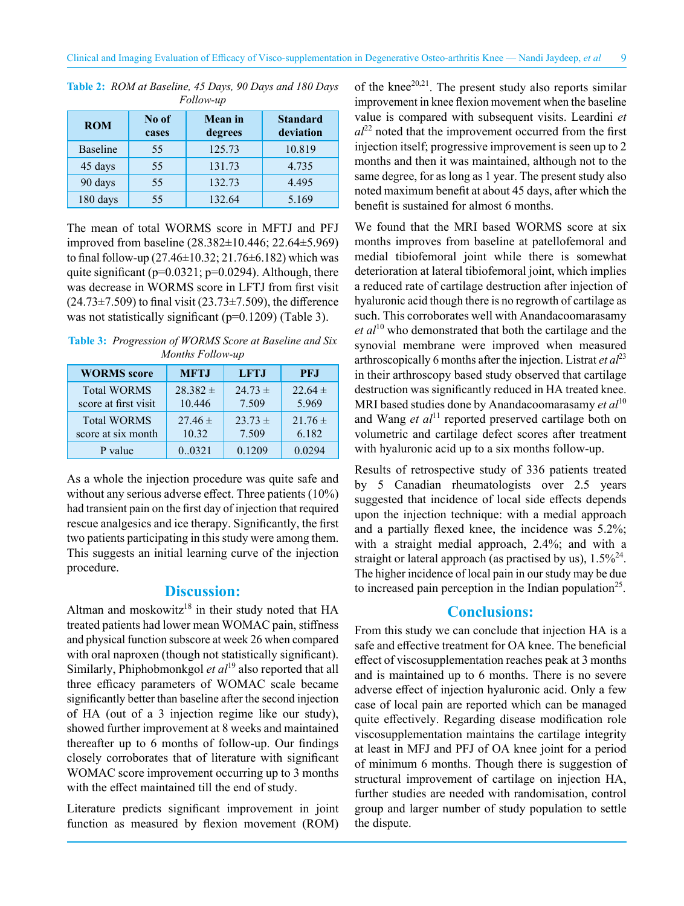| -------         |                |                           |                              |  |  |  |  |  |
|-----------------|----------------|---------------------------|------------------------------|--|--|--|--|--|
| <b>ROM</b>      | No of<br>cases | <b>Mean</b> in<br>degrees | <b>Standard</b><br>deviation |  |  |  |  |  |
| <b>Baseline</b> | 55             | 125.73                    | 10.819                       |  |  |  |  |  |
| 45 days         | 55             | 131.73                    | 4.735                        |  |  |  |  |  |
| 90 days         | 55             | 132.73                    | 4.495                        |  |  |  |  |  |
| 180 days        | 55             | 132.64                    | 5.169                        |  |  |  |  |  |

**Table 2:** *ROM at Baseline, 45 Days, 90 Days and 180 Days Follow-up*

The mean of total WORMS score in MFTJ and PFJ improved from baseline (28.382±10.446; 22.64±5.969) to final follow-up  $(27.46\pm10.32; 21.76\pm6.182)$  which was quite significant ( $p=0.0321$ ;  $p=0.0294$ ). Although, there was decrease in WORMS score in LFTJ from first visit  $(24.73 \pm 7.509)$  to final visit  $(23.73 \pm 7.509)$ , the difference was not statistically significant (p=0.1209) (Table 3).

**Table 3:** *Progression of WORMS Score at Baseline and Six Months Follow-up*

| <b>WORMS</b> score   | <b>MFTJ</b>  | <b>LFTJ</b> | <b>PFJ</b>  |
|----------------------|--------------|-------------|-------------|
| <b>Total WORMS</b>   | $28.382 \pm$ | $24.73 \pm$ | $22.64 \pm$ |
| score at first visit | 10.446       | 7.509       | 5.969       |
| <b>Total WORMS</b>   | $27.46 \pm$  | $23.73 \pm$ | $21.76 \pm$ |
| score at six month   | 10.32        | 7.509       | 6.182       |
| P value              | 0.0321       | 0.1209      | 0.0294      |

As a whole the injection procedure was quite safe and without any serious adverse effect. Three patients (10%) had transient pain on the first day of injection that required rescue analgesics and ice therapy. Significantly, the first two patients participating in this study were among them. This suggests an initial learning curve of the injection procedure.

### **Discussion:**

Altman and moskowitz<sup>18</sup> in their study noted that  $HA$ treated patients had lower mean WOMAC pain, stiffness and physical function subscore at week 26 when compared with oral naproxen (though not statistically significant). Similarly, Phiphobmonkgol *et al*19 also reported that all three efficacy parameters of WOMAC scale became significantly better than baseline after the second injection of HA (out of a 3 injection regime like our study), showed further improvement at 8 weeks and maintained thereafter up to 6 months of follow-up. Our findings closely corroborates that of literature with significant WOMAC score improvement occurring up to 3 months with the effect maintained till the end of study.

Literature predicts significant improvement in joint function as measured by flexion movement (ROM)

of the knee<sup>20,21</sup>. The present study also reports similar improvement in knee flexion movement when the baseline value is compared with subsequent visits. Leardini *et*   $al^{22}$  noted that the improvement occurred from the first injection itself; progressive improvement is seen up to 2 months and then it was maintained, although not to the same degree, for as long as 1 year. The present study also noted maximum benefit at about 45 days, after which the benefit is sustained for almost 6 months.

We found that the MRI based WORMS score at six months improves from baseline at patellofemoral and medial tibiofemoral joint while there is somewhat deterioration at lateral tibiofemoral joint, which implies a reduced rate of cartilage destruction after injection of hyaluronic acid though there is no regrowth of cartilage as such. This corroborates well with Anandacoomarasamy *et al*10 who demonstrated that both the cartilage and the synovial membrane were improved when measured arthroscopically 6 months after the injection. Listrat *et*  $al^{23}$ in their arthroscopy based study observed that cartilage destruction was significantly reduced in HA treated knee. MRI based studies done by Anandacoomarasamy *et al*<sup>10</sup> and Wang *et al*<sup>11</sup> reported preserved cartilage both on volumetric and cartilage defect scores after treatment with hyaluronic acid up to a six months follow-up.

Results of retrospective study of 336 patients treated by 5 Canadian rheumatologists over 2.5 years suggested that incidence of local side effects depends upon the injection technique: with a medial approach and a partially flexed knee, the incidence was 5.2%; with a straight medial approach, 2.4%; and with a straight or lateral approach (as practised by us),  $1.5\%^{24}$ . The higher incidence of local pain in our study may be due to increased pain perception in the Indian population<sup>25</sup>.

#### **Conclusions:**

From this study we can conclude that injection HA is a safe and effective treatment for OA knee. The beneficial effect of viscosupplementation reaches peak at 3 months and is maintained up to 6 months. There is no severe adverse effect of injection hyaluronic acid. Only a few case of local pain are reported which can be managed quite effectively. Regarding disease modification role viscosupplementation maintains the cartilage integrity at least in MFJ and PFJ of OA knee joint for a period of minimum 6 months. Though there is suggestion of structural improvement of cartilage on injection HA, further studies are needed with randomisation, control group and larger number of study population to settle the dispute.